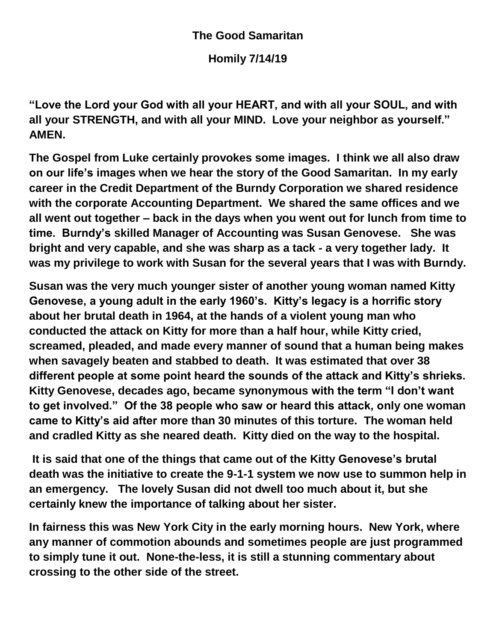## **The Good Samaritan**

**Homily 7/14/19**

**"Love the Lord your God with all your HEART, and with all your SOUL, and with all your STRENGTH, and with all your MIND. Love your neighbor as yourself." AMEN.**

**The Gospel from Luke certainly provokes some images. I think we all also draw on our life's images when we hear the story of the Good Samaritan. In my early career in the Credit Department of the Burndy Corporation we shared residence with the corporate Accounting Department. We shared the same offices and we all went out together – back in the days when you went out for lunch from time to time. Burndy's skilled Manager of Accounting was Susan Genovese. She was bright and very capable, and she was sharp as a tack - a very together lady. It was my privilege to work with Susan for the several years that I was with Burndy.** 

**Susan was the very much younger sister of another young woman named Kitty Genovese, a young adult in the early 1960's. Kitty's legacy is a horrific story about her brutal death in 1964, at the hands of a violent young man who conducted the attack on Kitty for more than a half hour, while Kitty cried, screamed, pleaded, and made every manner of sound that a human being makes when savagely beaten and stabbed to death. It was estimated that over 38 different people at some point heard the sounds of the attack and Kitty's shrieks. Kitty Genovese, decades ago, became synonymous with the term "I don't want to get involved." Of the 38 people who saw or heard this attack, only one woman came to Kitty's aid after more than 30 minutes of this torture. The woman held and cradled Kitty as she neared death. Kitty died on the way to the hospital.** 

**It is said that one of the things that came out of the Kitty Genovese's brutal death was the initiative to create the 9-1-1 system we now use to summon help in an emergency. The lovely Susan did not dwell too much about it, but she certainly knew the importance of talking about her sister.**

**In fairness this was New York City in the early morning hours. New York, where any manner of commotion abounds and sometimes people are just programmed to simply tune it out. None-the-less, it is still a stunning commentary about crossing to the other side of the street.**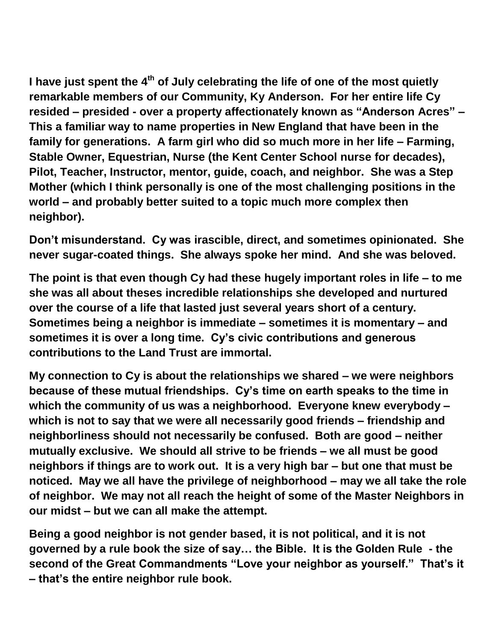**I have just spent the 4th of July celebrating the life of one of the most quietly remarkable members of our Community, Ky Anderson. For her entire life Cy resided – presided - over a property affectionately known as "Anderson Acres" – This a familiar way to name properties in New England that have been in the family for generations. A farm girl who did so much more in her life – Farming, Stable Owner, Equestrian, Nurse (the Kent Center School nurse for decades), Pilot, Teacher, Instructor, mentor, guide, coach, and neighbor. She was a Step Mother (which I think personally is one of the most challenging positions in the world – and probably better suited to a topic much more complex then neighbor).** 

**Don't misunderstand. Cy was irascible, direct, and sometimes opinionated. She never sugar-coated things. She always spoke her mind. And she was beloved.**

**The point is that even though Cy had these hugely important roles in life – to me she was all about theses incredible relationships she developed and nurtured over the course of a life that lasted just several years short of a century. Sometimes being a neighbor is immediate – sometimes it is momentary – and sometimes it is over a long time. Cy's civic contributions and generous contributions to the Land Trust are immortal.**

**My connection to Cy is about the relationships we shared – we were neighbors because of these mutual friendships. Cy's time on earth speaks to the time in which the community of us was a neighborhood. Everyone knew everybody – which is not to say that we were all necessarily good friends – friendship and neighborliness should not necessarily be confused. Both are good – neither mutually exclusive. We should all strive to be friends – we all must be good neighbors if things are to work out. It is a very high bar – but one that must be noticed. May we all have the privilege of neighborhood – may we all take the role of neighbor. We may not all reach the height of some of the Master Neighbors in our midst – but we can all make the attempt.** 

**Being a good neighbor is not gender based, it is not political, and it is not governed by a rule book the size of say… the Bible. It is the Golden Rule - the second of the Great Commandments "Love your neighbor as yourself." That's it – that's the entire neighbor rule book.**